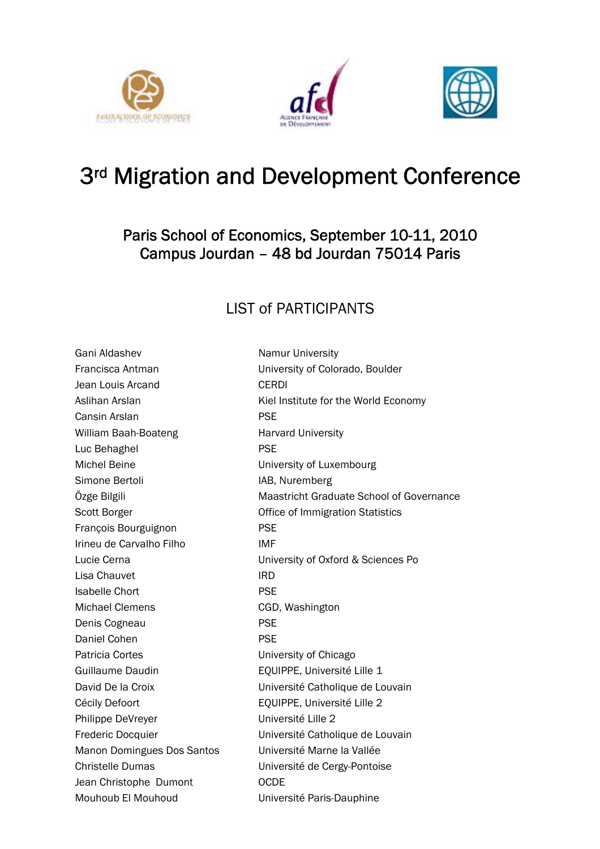





## 3rd Migration and Development Conference

## Paris School of Economics, September 10-11, 2010 Campus Jourdan – 48 bd Jourdan 75014 Paris

## LIST of PARTICIPANTS

Gani Aldashev Namur University Jean Louis Arcand CERDI Cansin Arslan **PSE** William Baah-Boateng Harvard University Luc Behaghel **PSE** Michel Beine **University of Luxembourg** Simone Bertoli **IAB, Nuremberg** François Bourguignon PSE Irineu de Carvalho Filho IMF Lisa Chauvet IRD Isabelle Chort PSE Michael Clemens CGD, Washington Denis Cogneau **PSE** Daniel Cohen **PSE** Patricia Cortes **Victor** University of Chicago Guillaume Daudin **EQUIPPE**, Université Lille 1 Cécily Defoort **EQUIPPE**, Université Lille 2 Philippe DeVreyer **Example 2** Université Lille 2 Manon Domingues Dos Santos Université Marne la Vallée Christelle Dumas Université de Cergy-Pontoise Jean Christophe Dumont **OCDE** Mouhoub El Mouhoud Université Paris-Dauphine

Francisca Antman University of Colorado, Boulder Aslihan Arslan Mathematic Muslim Kiel Institute for the World Economy Özge Bilgili Maastricht Graduate School of Governance Scott Borger **Contract Contract Contract Contract Contract Contract Contract Contract Contract Contract Contract Contract Contract Contract Contract Contract Contract Contract Contract Contract Contract Contract Contract C** Lucie Cerna University of Oxford & Sciences Po David De la Croix Université Catholique de Louvain Frederic Docquier Université Catholique de Louvain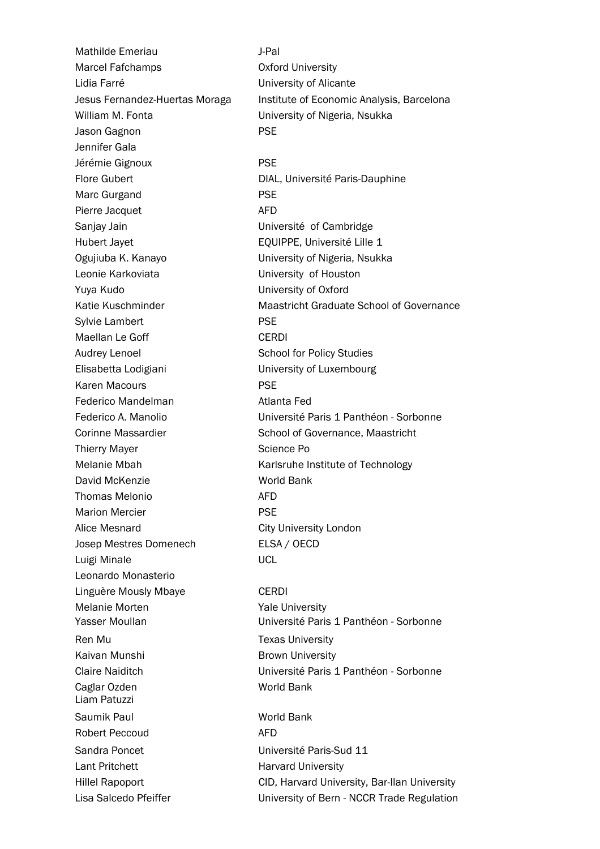Mathilde Emeriau J-Pal Marcel Fafchamps **Canadian Contract Contract Contract Contract Contract Contract Contract Contract Contract Contract Contract Contract Contract Contract Contract Contract Contract Contract Contract Contract Contract Contra** Lidia Farré **Lidia Farré de Lidia Entre Contracteurse de Lidia Entre Contracteurse de Lidia Entre Contracteurs** William M. Fonta **Villiam M. Fonta** University of Nigeria, Nsukka Jason Gagnon PSE Jennifer Gala Jérémie Gignoux **PSE** Marc Gurgand **PSE** Pierre Jacquet **AFD** Sanjay Jain Université of Cambridge Hubert Jayet EQUIPPE, Université Lille 1 Ogujiuba K. Kanayo University of Nigeria, Nsukka Leonie Karkoviata University of Houston Yuya Kudo University of Oxford Sylvie Lambert **PSE** Maellan Le Goff CERDI Audrey Lenoel **School for Policy Studies** Elisabetta Lodigiani University of Luxembourg Karen Macours **PSE** Federico Mandelman **Atlanta** Fed Thierry Mayer **Science Po** David McKenzie World Bank Thomas Melonio AFD Marion Mercier **PSE** Alice Mesnard **City University London** Josep Mestres Domenech ELSA / OECD Luigi Minale UCL Leonardo Monasterio Linguère Mously Mbaye CERDI Melanie Morten **Yale University** Ren Mu **Texas University** Kaivan Munshi Brown University Caglar Ozden World Bank Liam Patuzzi Saumik Paul World Bank Robert Peccoud AFD Sandra Poncet Université Paris-Sud 11 Lant Pritchett **Harvard University** 

Jesus Fernandez-Huertas Moraga Institute of Economic Analysis, Barcelona Flore Gubert DIAL, Université Paris-Dauphine Katie Kuschminder **Maastricht Graduate School of Governance** Federico A. Manolio Université Paris 1 Panthéon - Sorbonne Corinne Massardier School of Governance, Maastricht Melanie Mbah Karlsruhe Institute of Technology

Yasser Moullan Université Paris 1 Panthéon - Sorbonne Claire Naiditch Université Paris 1 Panthéon - Sorbonne

Hillel Rapoport CID, Harvard University, Bar-Ilan University Lisa Salcedo Pfeiffer **Exercise Server University of Bern - NCCR Trade Regulation**